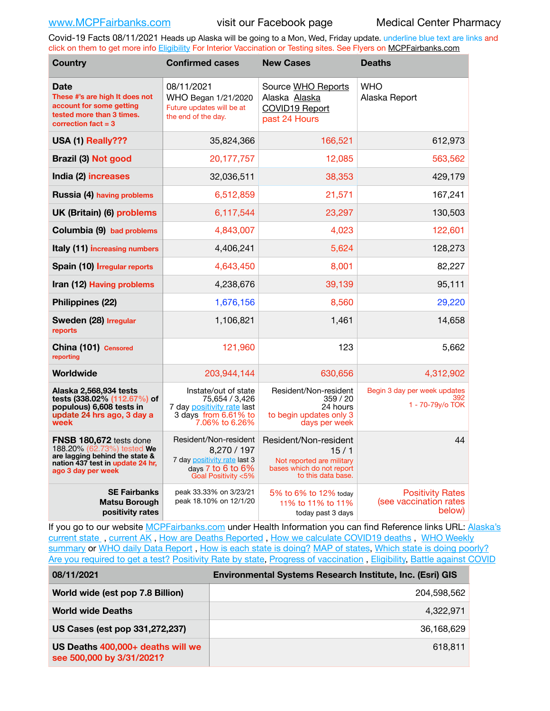Covid-19 Facts 08/11/2021 Heads up Alaska will be going to a Mon, Wed, Friday update. underline blue text are links and click on them to get more info [Eligibility](http://dhss.alaska.gov/dph/Epi/id/Pages/COVID-19/VaccineAvailability.aspx) For Interior Vaccination or Testing sites. See Flyers on [MCPFairbanks.com](http://www.MCPFairbanks.com)

| <b>Country</b>                                                                                                                                    | <b>Confirmed cases</b>                                                                                           | <b>New Cases</b>                                                                                              | <b>Deaths</b>                                               |
|---------------------------------------------------------------------------------------------------------------------------------------------------|------------------------------------------------------------------------------------------------------------------|---------------------------------------------------------------------------------------------------------------|-------------------------------------------------------------|
| <b>Date</b><br>These #'s are high It does not<br>account for some getting<br>tested more than 3 times.<br>correction $fact = 3$                   | 08/11/2021<br>WHO Began 1/21/2020<br>Future updates will be at<br>the end of the day.                            | Source WHO Reports<br>Alaska Alaska<br>COVID19 Report<br>past 24 Hours                                        | <b>WHO</b><br>Alaska Report                                 |
| USA (1) Really???                                                                                                                                 | 35,824,366                                                                                                       | 166,521                                                                                                       | 612,973                                                     |
| Brazil (3) Not good                                                                                                                               | 20,177,757                                                                                                       | 12,085                                                                                                        | 563,562                                                     |
| India (2) increases                                                                                                                               | 32,036,511                                                                                                       | 38,353                                                                                                        | 429,179                                                     |
| <b>Russia (4) having problems</b>                                                                                                                 | 6,512,859                                                                                                        | 21,571                                                                                                        | 167,241                                                     |
| UK (Britain) (6) problems                                                                                                                         | 6,117,544                                                                                                        | 23,297                                                                                                        | 130,503                                                     |
| Columbia (9) bad problems                                                                                                                         | 4,843,007                                                                                                        | 4,023                                                                                                         | 122,601                                                     |
| <b>Italy (11) increasing numbers</b>                                                                                                              | 4,406,241                                                                                                        | 5,624                                                                                                         | 128,273                                                     |
| Spain (10) Irregular reports                                                                                                                      | 4,643,450                                                                                                        | 8,001                                                                                                         | 82,227                                                      |
| Iran (12) Having problems                                                                                                                         | 4,238,676                                                                                                        | 39,139                                                                                                        | 95,111                                                      |
| Philippines (22)                                                                                                                                  | 1,676,156                                                                                                        | 8,560                                                                                                         | 29,220                                                      |
| Sweden (28) Irregular<br>reports                                                                                                                  | 1,106,821                                                                                                        | 1,461                                                                                                         | 14,658                                                      |
| China (101) Censored<br>reporting                                                                                                                 | 121,960                                                                                                          | 123                                                                                                           | 5,662                                                       |
| Worldwide                                                                                                                                         | 203,944,144                                                                                                      | 630,656                                                                                                       | 4,312,902                                                   |
| Alaska 2,568,934 tests<br>tests (338.02% (112.67%) of<br>populous) 6,608 tests in<br>update 24 hrs ago, 3 day a<br>week                           | Instate/out of state<br>75,654 / 3,426<br>7 day positivity rate last<br>3 days from 6.61% to<br>7.06% to 6.26%   | Resident/Non-resident<br>359/20<br>24 hours<br>to begin updates only 3<br>days per week                       | Begin 3 day per week updates<br>392<br>1 - 70-79y/o TOK     |
| FNSB 180,672 tests done<br>188.20% (62.73%) tested We<br>are lagging behind the state &<br>nation 437 test in update 24 hr.<br>ago 3 day per week | Resident/Non-resident<br>8,270 / 197<br>7 day positivity rate last 3<br>days 7 to 6 to 6%<br>Goal Positivity <5% | Resident/Non-resident<br>15/1<br>Not reported are military<br>bases which do not report<br>to this data base. | 44                                                          |
| <b>SE Fairbanks</b><br><b>Matsu Borough</b><br>positivity rates                                                                                   | peak 33.33% on 3/23/21<br>peak 18.10% on 12/1/20                                                                 | 5% to 6% to 12% today<br>11% to 11% to 11%<br>today past 3 days                                               | <b>Positivity Rates</b><br>(see vaccination rates<br>below) |

If you go to our website [MCPFairbanks.com](http://www.MCPFairbanks.com) under Health Information you can find Reference links URL: Alaska's [current state](https://coronavirus-response-alaska-dhss.hub.arcgis.com) , [current AK](http://dhss.alaska.gov/dph/Epi/id/Pages/COVID-19/communications.aspx#cases) , [How are Deaths Reported](http://dhss.alaska.gov/dph/Epi/id/Pages/COVID-19/deathcounts.aspx) , [How we calculate COVID19 deaths](https://coronavirus-response-alaska-dhss.hub.arcgis.com/search?collection=Document&groupIds=41ccb3344ebc4bd682c74073eba21f42) , [WHO Weekly](http://www.who.int)  [summary](http://www.who.int) or [WHO daily Data Report](https://covid19.who.int/table), [How is each state is doing?](https://www.msn.com/en-us/news/us/state-by-state-coronavirus-news/ar-BB13E1PX?fbclid=IwAR0_OBJH7lSyTN3ug_MsOeFnNgB1orTa9OBgilKJ7dhnwlVvHEsptuKkj1c) [MAP of states,](https://www.nationalgeographic.com/science/graphics/graphic-tracking-coronavirus-infections-us?cmpid=org=ngp::mc=crm-email::src=ngp::cmp=editorial::add=SpecialEdition_20210305&rid=B9A6DF5992658E8E35CE023113CFEA4C) [Which state is doing poorly?](https://bestlifeonline.com/covid-outbreak-your-state/?utm_source=nsltr&utm_medium=email&utm_content=covid-outbreak-your-state&utm_campaign=launch) [Are you required to get a test?](http://dhss.alaska.gov/dph/Epi/id/SiteAssets/Pages/HumanCoV/Whattodoafteryourtest.pdf) [Positivity Rate by state](https://coronavirus.jhu.edu/testing/individual-states/alaska), [Progress of vaccination](https://covid.cdc.gov/covid-data-tracker/#vaccinations) , [Eligibility,](http://dhss.alaska.gov/dph/Epi/id/Pages/COVID-19/VaccineAvailability.aspx) [Battle against COVID](https://www.nationalgeographic.com/science/graphics/graphic-tracking-coronavirus-infections-us?cmpid=org=ngp::mc=crm-email::src=ngp::cmp=editorial::add=SpecialEdition_20210219&rid=B9A6DF5992658E8E35CE023113CFEA4C)

| 08/11/2021                                                     | <b>Environmental Systems Research Institute, Inc. (Esri) GIS</b> |
|----------------------------------------------------------------|------------------------------------------------------------------|
| World wide (est pop 7.8 Billion)                               | 204.598.562                                                      |
| <b>World wide Deaths</b>                                       | 4.322.971                                                        |
| US Cases (est pop 331,272,237)                                 | 36,168,629                                                       |
| US Deaths 400,000+ deaths will we<br>see 500,000 by 3/31/2021? | 618,811                                                          |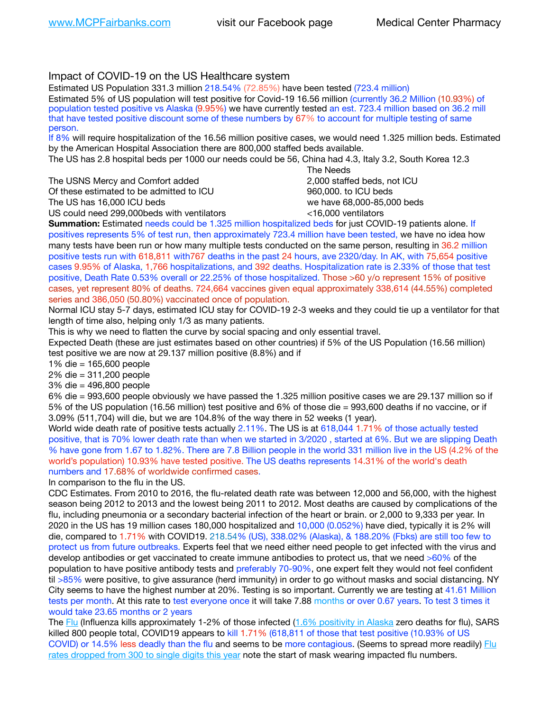# Impact of COVID-19 on the US Healthcare system

Estimated US Population 331.3 million 218.54% (72.85%) have been tested (723.4 million) Estimated 5% of US population will test positive for Covid-19 16.56 million (currently 36.2 Million (10.93%) of population tested positive vs Alaska (9.95%) we have currently tested an est. 723.4 million based on 36.2 mill that have tested positive discount some of these numbers by 67% to account for multiple testing of same person.

If 8% will require hospitalization of the 16.56 million positive cases, we would need 1.325 million beds. Estimated by the American Hospital Association there are 800,000 staffed beds available.

The US has 2.8 hospital beds per 1000 our needs could be 56, China had 4.3, Italy 3.2, South Korea 12.3

The USNS Mercy and Comfort added 2,000 staffed beds, not ICU Of these estimated to be admitted to ICU 860,000. to ICU beds The US has 16,000 ICU beds we have 68,000-85,000 beds ve have 68,000-85,000 beds

US could need 299,000 beds with ventilators  $\leq$ 16,000 ventilators

 The Needs

**Summation:** Estimated needs could be 1.325 million hospitalized beds for just COVID-19 patients alone. If positives represents 5% of test run, then approximately 723.4 million have been tested, we have no idea how many tests have been run or how many multiple tests conducted on the same person, resulting in 36.2 million positive tests run with 618,811 with767 deaths in the past 24 hours, ave 2320/day. In AK, with 75,654 positive cases 9.95% of Alaska, 1,766 hospitalizations, and 392 deaths. Hospitalization rate is 2.33% of those that test positive, Death Rate 0.53% overall or 22.25% of those hospitalized. Those >60 y/o represent 15% of positive cases, yet represent 80% of deaths. 724,664 vaccines given equal approximately 338,614 (44.55%) completed series and 386,050 (50.80%) vaccinated once of population.

Normal ICU stay 5-7 days, estimated ICU stay for COVID-19 2-3 weeks and they could tie up a ventilator for that length of time also, helping only 1/3 as many patients.

This is why we need to flatten the curve by social spacing and only essential travel.

Expected Death (these are just estimates based on other countries) if 5% of the US Population (16.56 million) test positive we are now at 29.137 million positive (8.8%) and if

1% die = 165,600 people

2% die = 311,200 people

3% die = 496,800 people

6% die = 993,600 people obviously we have passed the 1.325 million positive cases we are 29.137 million so if 5% of the US population (16.56 million) test positive and 6% of those die = 993,600 deaths if no vaccine, or if 3.09% (511,704) will die, but we are 104.8% of the way there in 52 weeks (1 year).

World wide death rate of positive tests actually 2.11%. The US is at 618,044 1.71% of those actually tested positive, that is 70% lower death rate than when we started in 3/2020 , started at 6%. But we are slipping Death % have gone from 1.67 to 1.82%. There are 7.8 Billion people in the world 331 million live in the US (4.2% of the world's population) 10.93% have tested positive. The US deaths represents 14.31% of the world's death numbers and 17.68% of worldwide confirmed cases.

In comparison to the flu in the US.

CDC Estimates. From 2010 to 2016, the flu-related death rate was between 12,000 and 56,000, with the highest season being 2012 to 2013 and the lowest being 2011 to 2012. Most deaths are caused by complications of the flu, including pneumonia or a secondary bacterial infection of the heart or brain. or 2,000 to 9,333 per year. In 2020 in the US has 19 million cases 180,000 hospitalized and 10,000 (0.052%) have died, typically it is 2% will die, compared to 1.71% with COVID19. 218.54% (US), 338.02% (Alaska), & 188.20% (Fbks) are still too few to protect us from future outbreaks. Experts feel that we need either need people to get infected with the virus and develop antibodies or get vaccinated to create immune antibodies to protect us, that we need >60% of the population to have positive antibody tests and preferably 70-90%, one expert felt they would not feel confident til >85% were positive, to give assurance (herd immunity) in order to go without masks and social distancing. NY City seems to have the highest number at 20%. Testing is so important. Currently we are testing at 41.61 Million tests per month. At this rate to test everyone once it will take 7.88 months or over 0.67 years. To test 3 times it would take 23.65 months or 2 years

The [Flu](https://lnks.gd/l/eyJhbGciOiJIUzI1NiJ9.eyJidWxsZXRpbl9saW5rX2lkIjoxMDMsInVyaSI6ImJwMjpjbGljayIsImJ1bGxldGluX2lkIjoiMjAyMTAyMjYuMzYwNDA3NTEiLCJ1cmwiOiJodHRwczovL3d3dy5jZGMuZ292L2ZsdS93ZWVrbHkvb3ZlcnZpZXcuaHRtIn0.ePMA_hsZ-pTnhWSyg1gHvHWYTu2XceVOt0JejxvP1WE/s/500544915/br/98428119752-l) (Influenza kills approximately 1-2% of those infected ([1.6% positivity in Alaska](http://dhss.alaska.gov/dph/Epi/id/SiteAssets/Pages/influenza/trends/Snapshot.pdf) zero deaths for flu), SARS killed 800 people total, COVID19 appears to kill 1.71% (618,811 of those that test positive (10.93% of US COVID) or 14.5% less deadly than the flu and seems to be more contagious. (Seems to spread more readily) [Flu](https://lnks.gd/l/eyJhbGciOiJIUzI1NiJ9.eyJidWxsZXRpbl9saW5rX2lkIjoxMDEsInVyaSI6ImJwMjpjbGljayIsImJ1bGxldGluX2lkIjoiMjAyMTAyMjYuMzYwNDA3NTEiLCJ1cmwiOiJodHRwOi8vZGhzcy5hbGFza2EuZ292L2RwaC9FcGkvaWQvUGFnZXMvaW5mbHVlbnphL2ZsdWluZm8uYXNweCJ9.oOe3nt2fww6XpsNhb4FZfmtPfPa-irGaldpkURBJhSo/s/500544915/br/98428119752-l)  [rates dropped from 300 to single digits this year](https://lnks.gd/l/eyJhbGciOiJIUzI1NiJ9.eyJidWxsZXRpbl9saW5rX2lkIjoxMDEsInVyaSI6ImJwMjpjbGljayIsImJ1bGxldGluX2lkIjoiMjAyMTAyMjYuMzYwNDA3NTEiLCJ1cmwiOiJodHRwOi8vZGhzcy5hbGFza2EuZ292L2RwaC9FcGkvaWQvUGFnZXMvaW5mbHVlbnphL2ZsdWluZm8uYXNweCJ9.oOe3nt2fww6XpsNhb4FZfmtPfPa-irGaldpkURBJhSo/s/500544915/br/98428119752-l) note the start of mask wearing impacted flu numbers.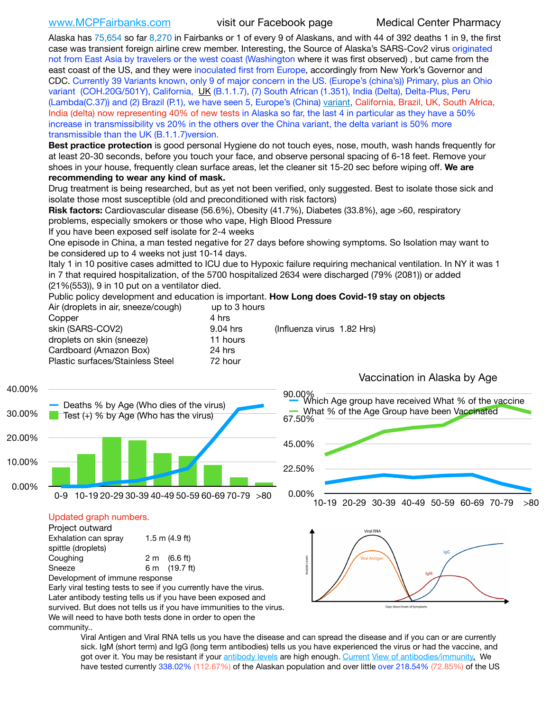[www.MCPFairbanks.com](http://www.MCPFairbanks.com) visit our Facebook page Medical Center Pharmacy

Alaska has 75,654 so far 8,270 in Fairbanks or 1 of every 9 of Alaskans, and with 44 of 392 deaths 1 in 9, the first case was transient foreign airline crew member. Interesting, the Source of Alaska's SARS-Cov2 virus originated not from East Asia by travelers or the west coast (Washington where it was first observed) , but came from the east coast of the US, and they were inoculated first from Europe, accordingly from New York's Governor and CDC. Currently 39 Variants known, only 9 of major concern in the US. (Europe's (china's)) Primary, plus an Ohio variant (COH.20G/501Y), California, [UK](https://www.cdc.gov/coronavirus/2019-ncov/transmission/variant-cases.html) (B.1.1.7), (7) South African (1.351), India (Delta), Delta-Plus, Peru (Lambda(C.37)) and (2) Brazil (P.1), we have seen 5, Europe's (China) [variant](https://www.webmd.com/lung/news/20210318/cdc-who-create-threat-levels-for-covid-variants?ecd=wnl_cvd_031921&ctr=wnl-cvd-031921&mb=kYbf7DsHb7YGjh/1RUkcAW0T6iorImAU1TDZh18RYs0=_Support_titleLink_2), California, Brazil, UK, South Africa, India (delta) now representing 40% of new tests in Alaska so far, the last 4 in particular as they have a 50% increase in transmissibility vs 20% in the others over the China variant, the delta variant is 50% more transmissible than the UK (B.1.1.7)version.

**Best practice protection** is good personal Hygiene do not touch eyes, nose, mouth, wash hands frequently for at least 20-30 seconds, before you touch your face, and observe personal spacing of 6-18 feet. Remove your shoes in your house, frequently clean surface areas, let the cleaner sit 15-20 sec before wiping off. **We are recommending to wear any kind of mask.**

Drug treatment is being researched, but as yet not been verified, only suggested. Best to isolate those sick and isolate those most susceptible (old and preconditioned with risk factors)

**Risk factors:** Cardiovascular disease (56.6%), Obesity (41.7%), Diabetes (33.8%), age >60, respiratory problems, especially smokers or those who vape, High Blood Pressure

If you have been exposed self isolate for 2-4 weeks

One episode in China, a man tested negative for 27 days before showing symptoms. So Isolation may want to be considered up to 4 weeks not just 10-14 days.

Italy 1 in 10 positive cases admitted to ICU due to Hypoxic failure requiring mechanical ventilation. In NY it was 1 in 7 that required hospitalization, of the 5700 hospitalized 2634 were discharged (79% (2081)) or added (21%(553)), 9 in 10 put on a ventilator died.

Public policy development and education is important. **How Long does Covid-19 stay on objects** Air (droplets in air, sneeze/cough) up to 3 hours

| Copper                           | 4 hrs                                  |  |
|----------------------------------|----------------------------------------|--|
| skin (SARS-COV2)                 | (Influenza virus 1.82 Hrs)<br>9.04 hrs |  |
| droplets on skin (sneeze)        | 11 hours                               |  |
| Cardboard (Amazon Box)           | 24 hrs                                 |  |
| Plastic surfaces/Stainless Steel | 72 hour                                |  |
|                                  |                                        |  |



Viral Antigen and Viral RNA tells us you have the disease and can spread the disease and if you can or are currently sick. IgM (short term) and IgG (long term antibodies) tells us you have experienced the virus or had the vaccine, and got over it. You may be resistant if your [antibody levels](https://www.cdc.gov/coronavirus/2019-ncov/lab/resources/antibody-tests.html) are high enough. [Current](https://l.facebook.com/l.php?u=https://www.itv.com/news/2020-10-26/covid-19-antibody-levels-reduce-over-time-study-finds?fbclid=IwAR3Dapzh1qIH1EIOdUQI2y8THf7jfA4KBCaJz8Qg-8xe1YsrR4nsAHDIXSY&h=AT30nut8pkqp0heVuz5W2rT2WFFm-2Ab52BsJxZZCNlGsX58IpPkuVEPULbIUV_M16MAukx1Kwb657DPXxsgDN1rpOQ4gqBtQsmVYiWpnHPJo2RQsU6CPMd14lgLnQnFWxfVi6zvmw&__tn__=-UK-R&c%5B0%5D=AT1GaRAfR_nGAyqcn7TI1-PpvqOqEKXHnz6TDWvRStMnOSH7boQDvTiwTOc6VId9UES6LKiOmm2m88wKCoolkJyOFvakt2Z1Mw8toYWGGoWW23r0MNVBl7cYJXB_UOvGklNHaNnaNr1_S7NhT3BSykNOBg) [View of antibodies/immunity](https://www.livescience.com/antibodies.html)[.](https://www.itv.com/news/2020-10-26/covid-19-antibody-levels-reduce-over-time-study-finds) We have tested currently 338.02% (112.67%) of the Alaskan population and over little over 218.54% (72.85%) of the US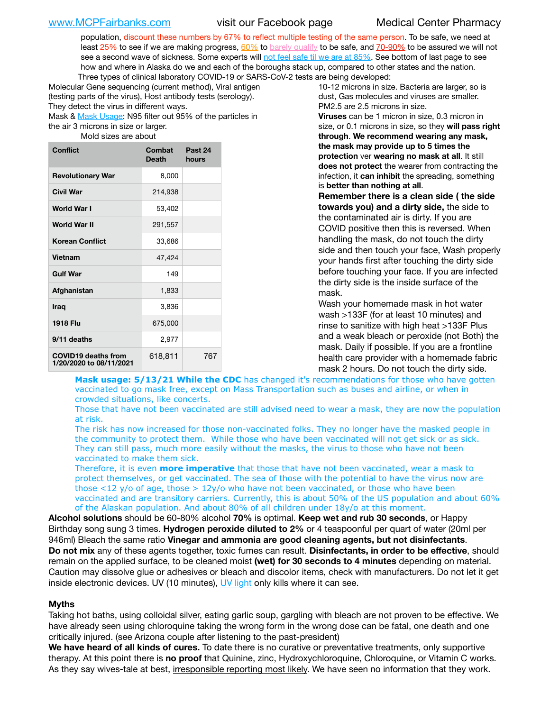population, discount these numbers by 67% to reflect multiple testing of the same person. To be safe, we need at least 25% to see if we are making progress,  $60\%$  to [barely qualify](https://www.nature.com/articles/d41586-020-02948-4) to be safe, and [70-90%](https://www.mayoclinic.org/herd-immunity-and-coronavirus/art-20486808) to be assured we will not see a second wave of sickness. Some experts will [not feel safe til we are at 85%](https://www.bannerhealth.com/healthcareblog/teach-me/what-is-herd-immunity). See bottom of last page to see how and where in Alaska do we and each of the boroughs stack up, compared to other states and the nation. Three types of clinical laboratory COVID-19 or SARS-CoV-2 tests are being developed:

Molecular Gene sequencing (current method), Viral antigen (testing parts of the virus), Host antibody tests (serology). They detect the virus in different ways.

Mask & [Mask Usage:](https://www.nationalgeographic.com/history/2020/03/how-cities-flattened-curve-1918-spanish-flu-pandemic-coronavirus/) N95 filter out 95% of the particles in the air 3 microns in size or larger.

Mold sizes are about

| <b>Conflict</b>                                       | Combat<br><b>Death</b> | Past 24<br>hours |
|-------------------------------------------------------|------------------------|------------------|
| <b>Revolutionary War</b>                              | 8,000                  |                  |
| Civil War                                             | 214,938                |                  |
| World War I                                           | 53,402                 |                  |
| World War II                                          | 291,557                |                  |
| <b>Korean Conflict</b>                                | 33,686                 |                  |
| <b>Vietnam</b>                                        | 47,424                 |                  |
| <b>Gulf War</b>                                       | 149                    |                  |
| Afghanistan                                           | 1,833                  |                  |
| <b>Iraq</b>                                           | 3,836                  |                  |
| <b>1918 Flu</b>                                       | 675,000                |                  |
| 9/11 deaths                                           | 2,977                  |                  |
| <b>COVID19 deaths from</b><br>1/20/2020 to 08/11/2021 | 618,811                | 767              |

10-12 microns in size. Bacteria are larger, so is dust, Gas molecules and viruses are smaller. PM2.5 are 2.5 microns in size.

**Viruses** can be 1 micron in size, 0.3 micron in size, or 0.1 microns in size, so they **will pass right through**. **We recommend wearing any mask, the mask may provide up to 5 times the protection** ver **wearing no mask at all**. It still **does not protect** the wearer from contracting the infection, it **can inhibit** the spreading, something is **better than nothing at all**.

**Remember there is a clean side ( the side towards you) and a dirty side,** the side to the contaminated air is dirty. If you are COVID positive then this is reversed. When handling the mask, do not touch the dirty side and then touch your face, Wash properly your hands first after touching the dirty side before touching your face. If you are infected the dirty side is the inside surface of the mask.

Wash your homemade mask in hot water wash >133F (for at least 10 minutes) and rinse to sanitize with high heat >133F Plus and a weak bleach or peroxide (not Both) the mask. Daily if possible. If you are a frontline health care provider with a homemade fabric mask 2 hours. Do not touch the dirty side.

**Mask usage: 5/13/21 While the CDC** has changed it's recommendations for those who have gotten vaccinated to go mask free, except on Mass Transportation such as buses and airline, or when in crowded situations, like concerts.

Those that have not been vaccinated are still advised need to wear a mask, they are now the population at risk.

The risk has now increased for those non-vaccinated folks. They no longer have the masked people in the community to protect them. While those who have been vaccinated will not get sick or as sick. They can still pass, much more easily without the masks, the virus to those who have not been vaccinated to make them sick.

Therefore, it is even **more imperative** that those that have not been vaccinated, wear a mask to protect themselves, or get vaccinated. The sea of those with the potential to have the virus now are those <12 y/o of age, those >  $12y$ /o who have not been vaccinated, or those who have been vaccinated and are transitory carriers. Currently, this is about 50% of the US population and about 60% of the Alaskan population. And about 80% of all children under 18y/o at this moment.

**Alcohol solutions** should be 60-80% alcohol **70%** is optimal. **Keep wet and rub 30 seconds**, or Happy Birthday song sung 3 times. **Hydrogen peroxide diluted to 2%** or 4 teaspoonful per quart of water (20ml per 946ml) Bleach the same ratio **Vinegar and ammonia are good cleaning agents, but not disinfectants**. **Do not mix** any of these agents together, toxic fumes can result. **Disinfectants, in order to be effective**, should remain on the applied surface, to be cleaned moist **(wet) for 30 seconds to 4 minutes** depending on material. Caution may dissolve glue or adhesives or bleach and discolor items, check with manufacturers. Do not let it get inside electronic devices. UV (10 minutes), [UV light](http://www.docreviews.me/best-uv-boxes-2020/?fbclid=IwAR3bvFtXB48OoBBSvYvTEnKuHNPbipxM6jUo82QUSw9wckxjC7wwRZWabGw) only kills where it can see.

### **Myths**

Taking hot baths, using colloidal silver, eating garlic soup, gargling with bleach are not proven to be effective. We have already seen using chloroquine taking the wrong form in the wrong dose can be fatal, one death and one critically injured. (see Arizona couple after listening to the past-president)

**We have heard of all kinds of cures.** To date there is no curative or preventative treatments, only supportive therapy. At this point there is **no proof** that Quinine, zinc, Hydroxychloroquine, Chloroquine, or Vitamin C works. As they say wives-tale at best, irresponsible reporting most likely. We have seen no information that they work.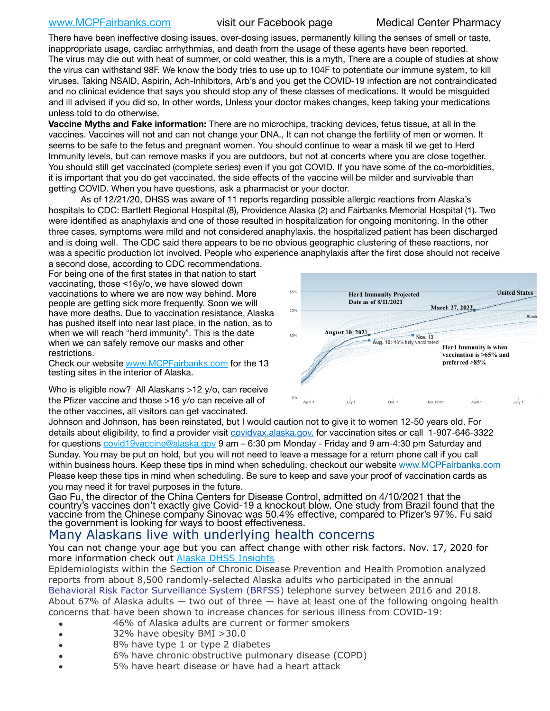# [www.MCPFairbanks.com](http://www.MCPFairbanks.com) visit our Facebook page Medical Center Pharmacy

There have been ineffective dosing issues, over-dosing issues, permanently killing the senses of smell or taste, inappropriate usage, cardiac arrhythmias, and death from the usage of these agents have been reported. The virus may die out with heat of summer, or cold weather, this is a myth, There are a couple of studies at show the virus can withstand 98F. We know the body tries to use up to 104F to potentiate our immune system, to kill viruses. Taking NSAID, Aspirin, Ach-Inhibitors, Arb's and you get the COVID-19 infection are not contraindicated and no clinical evidence that says you should stop any of these classes of medications. It would be misguided and ill advised if you did so, In other words, Unless your doctor makes changes, keep taking your medications unless told to do otherwise.

**Vaccine Myths and Fake information:** There are no microchips, tracking devices, fetus tissue, at all in the vaccines. Vaccines will not and can not change your DNA., It can not change the fertility of men or women. It seems to be safe to the fetus and pregnant women. You should continue to wear a mask til we get to Herd Immunity levels, but can remove masks if you are outdoors, but not at concerts where you are close together. You should still get vaccinated (complete series) even if you got COVID. If you have some of the co-morbidities, it is important that you do get vaccinated, the side effects of the vaccine will be milder and survivable than getting COVID. When you have questions, ask a pharmacist or your doctor.

As of 12/21/20, DHSS was aware of 11 reports regarding possible allergic reactions from Alaska's hospitals to CDC: Bartlett Regional Hospital (8), Providence Alaska (2) and Fairbanks Memorial Hospital (1). Two were identified as anaphylaxis and one of those resulted in hospitalization for ongoing monitoring. In the other three cases, symptoms were mild and not considered anaphylaxis. the hospitalized patient has been discharged and is doing well. The CDC said there appears to be no obvious geographic clustering of these reactions, nor was a specific production lot involved. People who experience anaphylaxis after the first dose should not receive

a second dose, according to CDC recommendations. For being one of the first states in that nation to start vaccinating, those <16y/o, we have slowed down vaccinations to where we are now way behind. More people are getting sick more frequently. Soon we will have more deaths. Due to vaccination resistance, Alaska has pushed itself into near last place, in the nation, as to when we will reach "herd immunity". This is the date when we can safely remove our masks and other restrictions.

Check our website [www.MCPFairbanks.com](http://www.MCPFairbanks.com) for the 13 testing sites in the interior of Alaska.

Who is eligible now? All Alaskans >12 y/o, can receive the Pfizer vaccine and those >16 y/o can receive all of the other vaccines, all visitors can get vaccinated.



Johnson and Johnson, has been reinstated, but I would caution not to give it to women 12-50 years old. For details about eligibility, to find a provider visit [covidvax.alaska.gov.](https://lnks.gd/l/eyJhbGciOiJIUzI1NiJ9.eyJidWxsZXRpbl9saW5rX2lkIjoxMDYsInVyaSI6ImJwMjpjbGljayIsImJ1bGxldGluX2lkIjoiMjAyMTAxMjguMzQwODU3NjEiLCJ1cmwiOiJodHRwOi8vZGhzcy5hbGFza2EuZ292L2RwaC9FcGkvaWQvUGFnZXMvQ09WSUQtMTkvdmFjY2luZS5hc3B4In0.-Xwhl42jAWOMS7ewfS85uxwrwjohCso3Sb81DuDKtxU/s/500544915/br/93796640171-l) for vaccination sites or call 1-907-646-3322 for questions [covid19vaccine@alaska.gov](mailto:covid19vaccine@alaska.gov?subject=COVID19%20Vaccine%20questions) 9 am – 6:30 pm Monday - Friday and 9 am-4:30 pm Saturday and Sunday. You may be put on hold, but you will not need to leave a message for a return phone call if you call within business hours. Keep these tips in mind when scheduling. checkout our website [www.MCPFairbanks.com](http://www.MCPFairbanks.com) Please keep these tips in mind when scheduling. Be sure to keep and save your proof of vaccination cards as you may need it for travel purposes in the future.

Gao Fu, the director of the China Centers for Disease Control, admitted on 4/10/2021 that the country's vaccines don't exactly give Covid-19 a knockout blow. One study from Brazil found that the vaccine from the Chinese company Sinovac was 50.4% effective, compared to Pfizer's 97%. Fu said the government is looking for ways to boost effectiveness.

# Many Alaskans live with underlying health concerns

You can not change your age but you can affect change with other risk factors. Nov. 17, 2020 for more information check out **[Alaska DHSS Insights](http://dhss.alaska.gov/dph/Epi/id/Pages/COVID-19/blog/20201117.aspx)** 

Epidemiologists within the Section of Chronic Disease Prevention and Health Promotion analyzed reports from about 8,500 randomly-selected Alaska adults who participated in the annual [Behavioral Risk Factor Surveillance System \(BRFSS\)](http://dhss.alaska.gov/dph/Chronic/Pages/brfss/default.aspx) telephone survey between 2016 and 2018. About 67% of Alaska adults — two out of three — have at least one of the following ongoing health concerns that have been shown to increase chances for serious illness from COVID-19:

- 46% of Alaska adults are current or former smokers
- 32% have obesity BMI >30.0
- 8% have type 1 or type 2 diabetes
- 6% have chronic obstructive pulmonary disease (COPD)
- 5% have heart disease or have had a heart attack